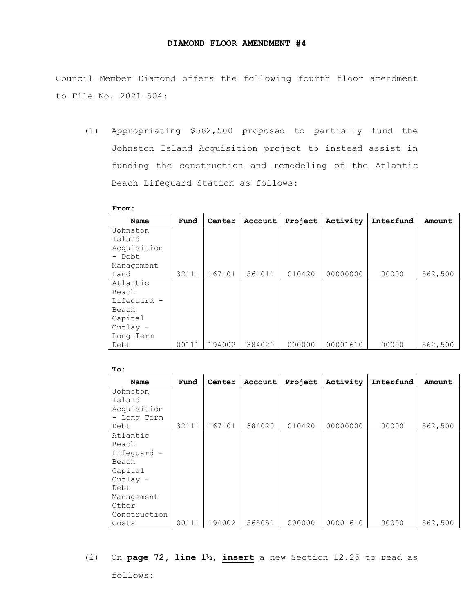Council Member Diamond offers the following fourth floor amendment to File No. 2021-504:

(1) Appropriating \$562,500 proposed to partially fund the Johnston Island Acquisition project to instead assist in funding the construction and remodeling of the Atlantic Beach Lifeguard Station as follows:

| Name        | Fund  | Center | Account | Project | Activity | Interfund | Amount  |
|-------------|-------|--------|---------|---------|----------|-----------|---------|
| Johnston    |       |        |         |         |          |           |         |
| Island      |       |        |         |         |          |           |         |
| Acquisition |       |        |         |         |          |           |         |
| - Debt      |       |        |         |         |          |           |         |
| Management  |       |        |         |         |          |           |         |
| Land        | 32111 | 167101 | 561011  | 010420  | 00000000 | 00000     | 562,500 |
| Atlantic    |       |        |         |         |          |           |         |
| Beach       |       |        |         |         |          |           |         |
| Lifeguard - |       |        |         |         |          |           |         |
| Beach       |       |        |         |         |          |           |         |
| Capital     |       |        |         |         |          |           |         |
| $Outlay -$  |       |        |         |         |          |           |         |
| Long-Term   |       |        |         |         |          |           |         |
| Debt        | 00111 | 194002 | 384020  | 000000  | 00001610 | 00000     | 562,500 |

| ٧ |  |
|---|--|
|   |  |

| To:          |       |        |         |         |          |           |         |
|--------------|-------|--------|---------|---------|----------|-----------|---------|
| Name         | Fund  | Center | Account | Project | Activity | Interfund | Amount  |
| Johnston     |       |        |         |         |          |           |         |
| Island       |       |        |         |         |          |           |         |
| Acquisition  |       |        |         |         |          |           |         |
| - Long Term  |       |        |         |         |          |           |         |
| Debt         | 32111 | 167101 | 384020  | 010420  | 00000000 | 00000     | 562,500 |
| Atlantic     |       |        |         |         |          |           |         |
| Beach        |       |        |         |         |          |           |         |
| Lifeguard -  |       |        |         |         |          |           |         |
| Beach        |       |        |         |         |          |           |         |
| Capital      |       |        |         |         |          |           |         |
| Outlay -     |       |        |         |         |          |           |         |
| Debt         |       |        |         |         |          |           |         |
| Management   |       |        |         |         |          |           |         |
| Other        |       |        |         |         |          |           |         |
| Construction |       |        |         |         |          |           |         |
| Costs        | 00111 | 194002 | 565051  | 000000  | 00001610 | 00000     | 562,500 |

## (2) On **page 72, line 1½, insert** a new Section 12.25 to read as

follows: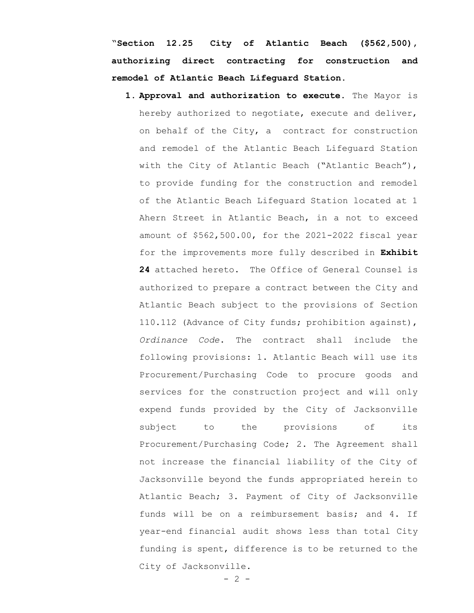"**Section 12.25 City of Atlantic Beach (\$562,500), authorizing direct contracting for construction and remodel of Atlantic Beach Lifeguard Station.**

- **1. Approval and authorization to execute.** The Mayor is hereby authorized to negotiate, execute and deliver, on behalf of the City, a contract for construction and remodel of the Atlantic Beach Lifeguard Station with the City of Atlantic Beach ("Atlantic Beach"), to provide funding for the construction and remodel of the Atlantic Beach Lifeguard Station located at 1 Ahern Street in Atlantic Beach, in a not to exceed amount of \$562,500.00, for the 2021-2022 fiscal year for the improvements more fully described in **Exhibit 24** attached hereto. The Office of General Counsel is authorized to prepare a contract between the City and Atlantic Beach subject to the provisions of Section 110.112 (Advance of City funds; prohibition against), *Ordinance Code*. The contract shall include the following provisions: 1. Atlantic Beach will use its Procurement/Purchasing Code to procure goods and services for the construction project and will only expend funds provided by the City of Jacksonville subject to the provisions of its Procurement/Purchasing Code; 2. The Agreement shall not increase the financial liability of the City of Jacksonville beyond the funds appropriated herein to Atlantic Beach; 3. Payment of City of Jacksonville funds will be on a reimbursement basis; and 4. If year-end financial audit shows less than total City funding is spent, difference is to be returned to the City of Jacksonville.
	- $2 -$